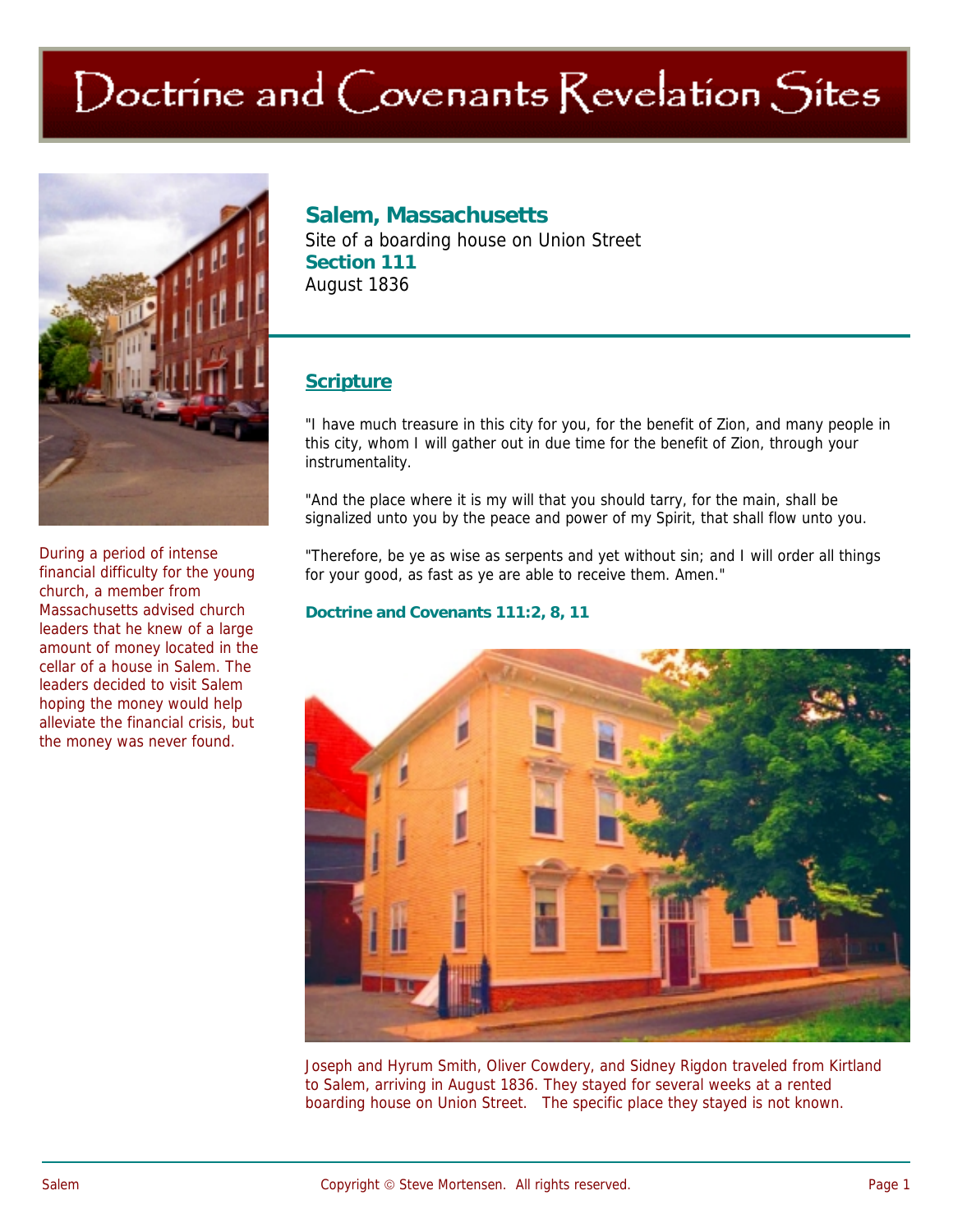# Doctrine and Covenants Revelation Sites



**Salem, Massachusetts** 

Site of a boarding house on Union Street **Section 111**  August 1836

## **Scripture**

"I have much treasure in this city for you, for the benefit of Zion, and many people in this city, whom I will gather out in due time for the benefit of Zion, through your instrumentality.

"And the place where it is my will that you should tarry, for the main, shall be signalized unto you by the peace and power of my Spirit, that shall flow unto you.

"Therefore, be ye as wise as serpents and yet without sin; and I will order all things for your good, as fast as ye are able to receive them. Amen."

#### **Doctrine and Covenants 111:2, 8, 11**



Joseph and Hyrum Smith, Oliver Cowdery, and Sidney Rigdon traveled from Kirtland to Salem, arriving in August 1836. They stayed for several weeks at a rented boarding house on Union Street. The specific place they stayed is not known.

During a period of intense financial difficulty for the young church, a member from Massachusetts advised church leaders that he knew of a large amount of money located in the cellar of a house in Salem. The leaders decided to visit Salem hoping the money would help alleviate the financial crisis, but the money was never found.